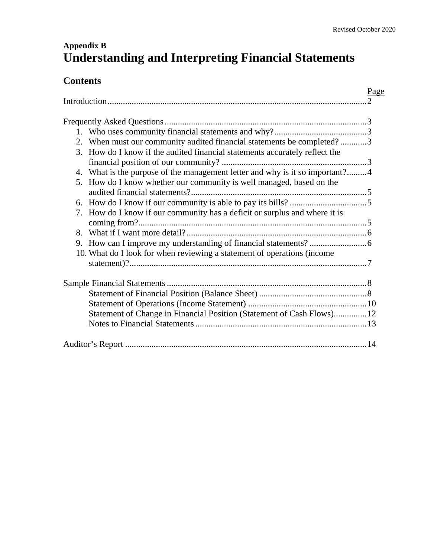# **Appendix B Understanding and Interpreting Financial Statements**

## **Contents**

|    |                                                                              | Page<br>$\mathcal{D}_{\mathcal{L}}$ |
|----|------------------------------------------------------------------------------|-------------------------------------|
|    |                                                                              |                                     |
|    |                                                                              |                                     |
|    | 2. When must our community audited financial statements be completed?3       |                                     |
|    | 3. How do I know if the audited financial statements accurately reflect the  |                                     |
|    |                                                                              |                                     |
|    | 4. What is the purpose of the management letter and why is it so important?4 |                                     |
| 5. | How do I know whether our community is well managed, based on the            |                                     |
|    |                                                                              |                                     |
|    |                                                                              |                                     |
| 7. | How do I know if our community has a deficit or surplus and where it is      |                                     |
|    |                                                                              |                                     |
|    |                                                                              |                                     |
| 9. |                                                                              |                                     |
|    | 10. What do I look for when reviewing a statement of operations (income      |                                     |
|    |                                                                              |                                     |
|    |                                                                              |                                     |
|    |                                                                              |                                     |
|    |                                                                              |                                     |
|    | Statement of Change in Financial Position (Statement of Cash Flows) 12       |                                     |
|    |                                                                              |                                     |
|    |                                                                              |                                     |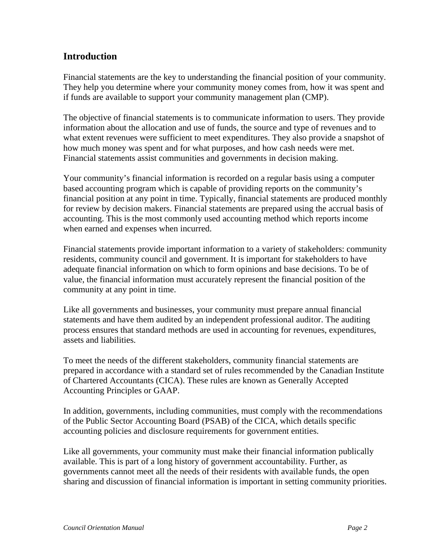## **Introduction**

Financial statements are the key to understanding the financial position of your community. They help you determine where your community money comes from, how it was spent and if funds are available to support your community management plan (CMP).

The objective of financial statements is to communicate information to users. They provide information about the allocation and use of funds, the source and type of revenues and to what extent revenues were sufficient to meet expenditures. They also provide a snapshot of how much money was spent and for what purposes, and how cash needs were met. Financial statements assist communities and governments in decision making.

Your community's financial information is recorded on a regular basis using a computer based accounting program which is capable of providing reports on the community's financial position at any point in time. Typically, financial statements are produced monthly for review by decision makers. Financial statements are prepared using the accrual basis of accounting. This is the most commonly used accounting method which reports income when earned and expenses when incurred.

Financial statements provide important information to a variety of stakeholders: community residents, community council and government. It is important for stakeholders to have adequate financial information on which to form opinions and base decisions. To be of value, the financial information must accurately represent the financial position of the community at any point in time.

Like all governments and businesses, your community must prepare annual financial statements and have them audited by an independent professional auditor. The auditing process ensures that standard methods are used in accounting for revenues, expenditures, assets and liabilities.

To meet the needs of the different stakeholders, community financial statements are prepared in accordance with a standard set of rules recommended by the Canadian Institute of Chartered Accountants (CICA). These rules are known as Generally Accepted Accounting Principles or GAAP.

In addition, governments, including communities, must comply with the recommendations of the Public Sector Accounting Board (PSAB) of the CICA, which details specific accounting policies and disclosure requirements for government entities.

Like all governments, your community must make their financial information publically available. This is part of a long history of government accountability. Further, as governments cannot meet all the needs of their residents with available funds, the open sharing and discussion of financial information is important in setting community priorities.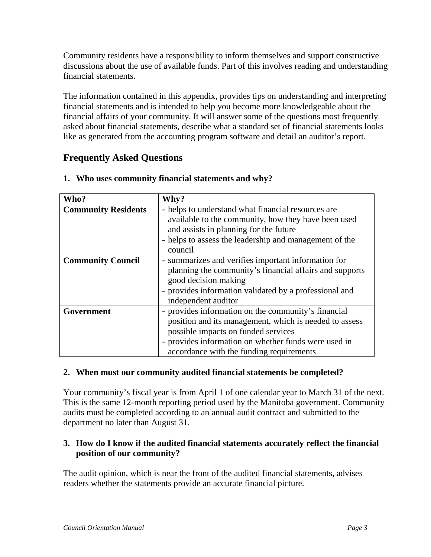Community residents have a responsibility to inform themselves and support constructive discussions about the use of available funds. Part of this involves reading and understanding financial statements.

The information contained in this appendix, provides tips on understanding and interpreting financial statements and is intended to help you become more knowledgeable about the financial affairs of your community. It will answer some of the questions most frequently asked about financial statements, describe what a standard set of financial statements looks like as generated from the accounting program software and detail an auditor's report.

## **Frequently Asked Questions**

| Who?                       | Why?                                                                                                                                                                                                                                                     |
|----------------------------|----------------------------------------------------------------------------------------------------------------------------------------------------------------------------------------------------------------------------------------------------------|
| <b>Community Residents</b> | - helps to understand what financial resources are<br>available to the community, how they have been used<br>and assists in planning for the future<br>- helps to assess the leadership and management of the<br>council                                 |
| <b>Community Council</b>   | - summarizes and verifies important information for<br>planning the community's financial affairs and supports<br>good decision making<br>- provides information validated by a professional and<br>independent auditor                                  |
| Government                 | - provides information on the community's financial<br>position and its management, which is needed to assess<br>possible impacts on funded services<br>- provides information on whether funds were used in<br>accordance with the funding requirements |

#### **1. Who uses community financial statements and why?**

#### **2. When must our community audited financial statements be completed?**

Your community's fiscal year is from April 1 of one calendar year to March 31 of the next. This is the same 12-month reporting period used by the Manitoba government. Community audits must be completed according to an annual audit contract and submitted to the department no later than August 31.

#### **3. How do I know if the audited financial statements accurately reflect the financial position of our community?**

The audit opinion, which is near the front of the audited financial statements, advises readers whether the statements provide an accurate financial picture.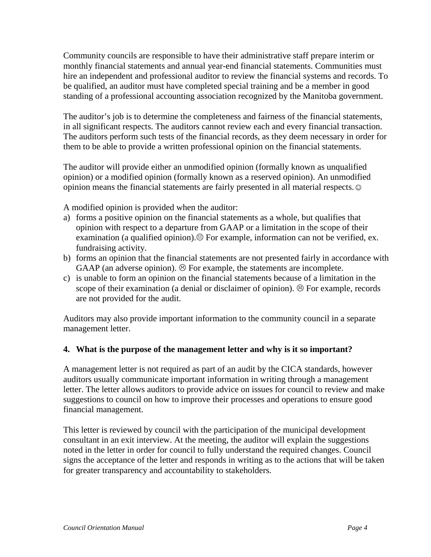Community councils are responsible to have their administrative staff prepare interim or monthly financial statements and annual year-end financial statements. Communities must hire an independent and professional auditor to review the financial systems and records. To be qualified, an auditor must have completed special training and be a member in good standing of a professional accounting association recognized by the Manitoba government.

The auditor's job is to determine the completeness and fairness of the financial statements, in all significant respects. The auditors cannot review each and every financial transaction. The auditors perform such tests of the financial records, as they deem necessary in order for them to be able to provide a written professional opinion on the financial statements.

The auditor will provide either an unmodified opinion (formally known as unqualified opinion) or a modified opinion (formally known as a reserved opinion). An unmodified opinion means the financial statements are fairly presented in all material respects. ☺

A modified opinion is provided when the auditor:

- a) forms a positive opinion on the financial statements as a whole, but qualifies that opinion with respect to a departure from GAAP or a limitation in the scope of their examination (a qualified opinion). $\Theta$  For example, information can not be verified, ex. fundraising activity.
- b) forms an opinion that the financial statements are not presented fairly in accordance with GAAP (an adverse opinion).  $\odot$  For example, the statements are incomplete.
- c) is unable to form an opinion on the financial statements because of a limitation in the scope of their examination (a denial or disclaimer of opinion).  $\odot$  For example, records are not provided for the audit.

Auditors may also provide important information to the community council in a separate management letter.

### **4. What is the purpose of the management letter and why is it so important?**

A management letter is not required as part of an audit by the CICA standards, however auditors usually communicate important information in writing through a management letter. The letter allows auditors to provide advice on issues for council to review and make suggestions to council on how to improve their processes and operations to ensure good financial management.

This letter is reviewed by council with the participation of the municipal development consultant in an exit interview. At the meeting, the auditor will explain the suggestions noted in the letter in order for council to fully understand the required changes. Council signs the acceptance of the letter and responds in writing as to the actions that will be taken for greater transparency and accountability to stakeholders.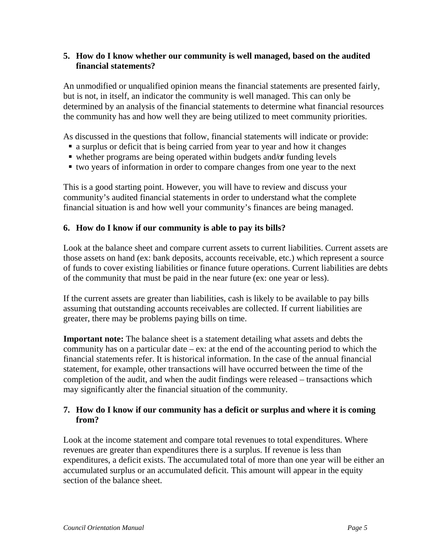#### **5. How do I know whether our community is well managed, based on the audited financial statements?**

An unmodified or unqualified opinion means the financial statements are presented fairly, but is not, in itself, an indicator the community is well managed. This can only be determined by an analysis of the financial statements to determine what financial resources the community has and how well they are being utilized to meet community priorities.

As discussed in the questions that follow, financial statements will indicate or provide:

- a surplus or deficit that is being carried from year to year and how it changes
- whether programs are being operated within budgets and/or funding levels
- two years of information in order to compare changes from one year to the next

This is a good starting point. However, you will have to review and discuss your community's audited financial statements in order to understand what the complete financial situation is and how well your community's finances are being managed.

#### **6. How do I know if our community is able to pay its bills?**

Look at the balance sheet and compare current assets to current liabilities. Current assets are those assets on hand (ex: bank deposits, accounts receivable, etc.) which represent a source of funds to cover existing liabilities or finance future operations. Current liabilities are debts of the community that must be paid in the near future (ex: one year or less).

If the current assets are greater than liabilities, cash is likely to be available to pay bills assuming that outstanding accounts receivables are collected. If current liabilities are greater, there may be problems paying bills on time.

**Important note:** The balance sheet is a statement detailing what assets and debts the community has on a particular date – ex: at the end of the accounting period to which the financial statements refer. It is historical information. In the case of the annual financial statement, for example, other transactions will have occurred between the time of the completion of the audit, and when the audit findings were released – transactions which may significantly alter the financial situation of the community.

#### **7. How do I know if our community has a deficit or surplus and where it is coming from?**

Look at the income statement and compare total revenues to total expenditures. Where revenues are greater than expenditures there is a surplus. If revenue is less than expenditures, a deficit exists. The accumulated total of more than one year will be either an accumulated surplus or an accumulated deficit. This amount will appear in the equity section of the balance sheet.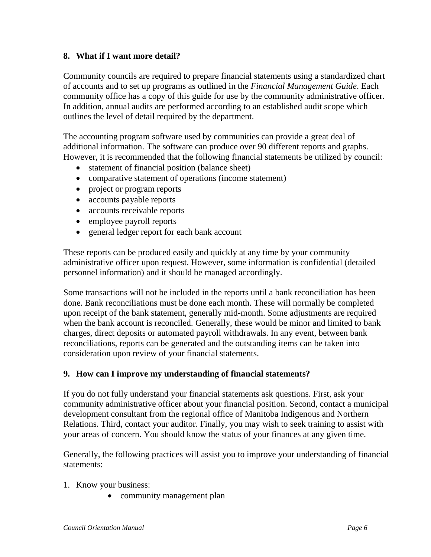### **8. What if I want more detail?**

Community councils are required to prepare financial statements using a standardized chart of accounts and to set up programs as outlined in the *Financial Management Guide*. Each community office has a copy of this guide for use by the community administrative officer. In addition, annual audits are performed according to an established audit scope which outlines the level of detail required by the department.

The accounting program software used by communities can provide a great deal of additional information. The software can produce over 90 different reports and graphs. However, it is recommended that the following financial statements be utilized by council:

- statement of financial position (balance sheet)
- comparative statement of operations (income statement)
- project or program reports
- accounts payable reports
- accounts receivable reports
- employee payroll reports
- general ledger report for each bank account

These reports can be produced easily and quickly at any time by your community administrative officer upon request. However, some information is confidential (detailed personnel information) and it should be managed accordingly.

Some transactions will not be included in the reports until a bank reconciliation has been done. Bank reconciliations must be done each month. These will normally be completed upon receipt of the bank statement, generally mid-month. Some adjustments are required when the bank account is reconciled. Generally, these would be minor and limited to bank charges, direct deposits or automated payroll withdrawals. In any event, between bank reconciliations, reports can be generated and the outstanding items can be taken into consideration upon review of your financial statements.

#### **9. How can I improve my understanding of financial statements?**

If you do not fully understand your financial statements ask questions. First, ask your community administrative officer about your financial position. Second, contact a municipal development consultant from the regional office of Manitoba Indigenous and Northern Relations. Third, contact your auditor. Finally, you may wish to seek training to assist with your areas of concern. You should know the status of your finances at any given time.

Generally, the following practices will assist you to improve your understanding of financial statements:

- 1. Know your business:
	- community management plan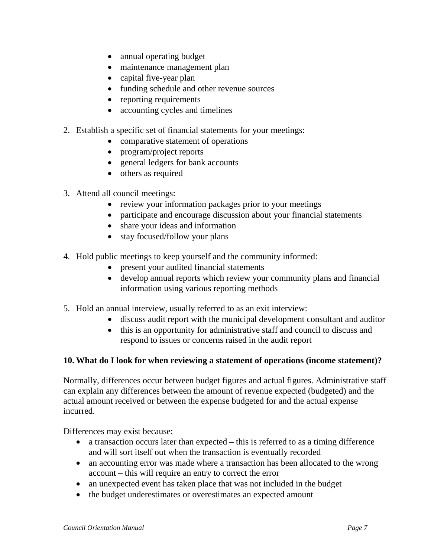- annual operating budget
- maintenance management plan
- capital five-year plan
- funding schedule and other revenue sources
- reporting requirements
- accounting cycles and timelines
- 2. Establish a specific set of financial statements for your meetings:
	- comparative statement of operations
	- program/project reports
	- general ledgers for bank accounts
	- others as required
- 3. Attend all council meetings:
	- review your information packages prior to your meetings
	- participate and encourage discussion about your financial statements
	- share your ideas and information
	- stay focused/follow your plans
- 4. Hold public meetings to keep yourself and the community informed:
	- present your audited financial statements
	- develop annual reports which review your community plans and financial information using various reporting methods
- 5. Hold an annual interview, usually referred to as an exit interview:
	- discuss audit report with the municipal development consultant and auditor
	- this is an opportunity for administrative staff and council to discuss and respond to issues or concerns raised in the audit report

#### **10. What do I look for when reviewing a statement of operations (income statement)?**

Normally, differences occur between budget figures and actual figures. Administrative staff can explain any differences between the amount of revenue expected (budgeted) and the actual amount received or between the expense budgeted for and the actual expense incurred.

Differences may exist because:

- a transaction occurs later than expected this is referred to as a timing difference and will sort itself out when the transaction is eventually recorded
- an accounting error was made where a transaction has been allocated to the wrong account – this will require an entry to correct the error
- an unexpected event has taken place that was not included in the budget
- the budget underestimates or overestimates an expected amount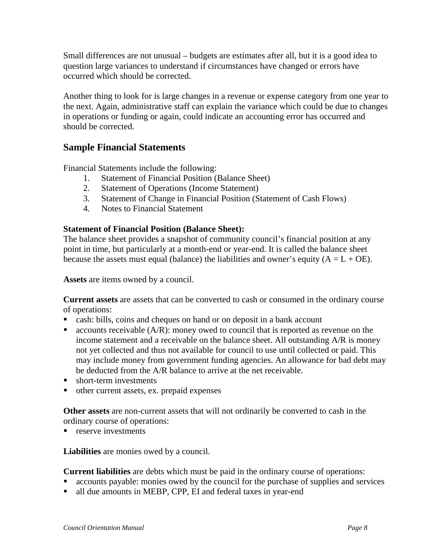Small differences are not unusual – budgets are estimates after all, but it is a good idea to question large variances to understand if circumstances have changed or errors have occurred which should be corrected.

Another thing to look for is large changes in a revenue or expense category from one year to the next. Again, administrative staff can explain the variance which could be due to changes in operations or funding or again, could indicate an accounting error has occurred and should be corrected.

## **Sample Financial Statements**

Financial Statements include the following:

- 1. Statement of Financial Position (Balance Sheet)
- 2. Statement of Operations (Income Statement)
- 3. Statement of Change in Financial Position (Statement of Cash Flows)
- 4. Notes to Financial Statement

#### **Statement of Financial Position (Balance Sheet):**

The balance sheet provides a snapshot of community council's financial position at any point in time, but particularly at a month-end or year-end. It is called the balance sheet because the assets must equal (balance) the liabilities and owner's equity  $(A = L + OE)$ .

**Assets** are items owned by a council.

**Current assets** are assets that can be converted to cash or consumed in the ordinary course of operations:

- cash: bills, coins and cheques on hand or on deposit in a bank account
- $\blacksquare$  accounts receivable (A/R): money owed to council that is reported as revenue on the income statement and a receivable on the balance sheet. All outstanding A/R is money not yet collected and thus not available for council to use until collected or paid. This may include money from government funding agencies. An allowance for bad debt may be deducted from the A/R balance to arrive at the net receivable.
- **short-term investments**
- other current assets, ex. prepaid expenses

**Other assets** are non-current assets that will not ordinarily be converted to cash in the ordinary course of operations:

 $r$  reserve investments

**Liabilities** are monies owed by a council.

**Current liabilities** are debts which must be paid in the ordinary course of operations:

- accounts payable: monies owed by the council for the purchase of supplies and services
- all due amounts in MEBP, CPP, EI and federal taxes in year-end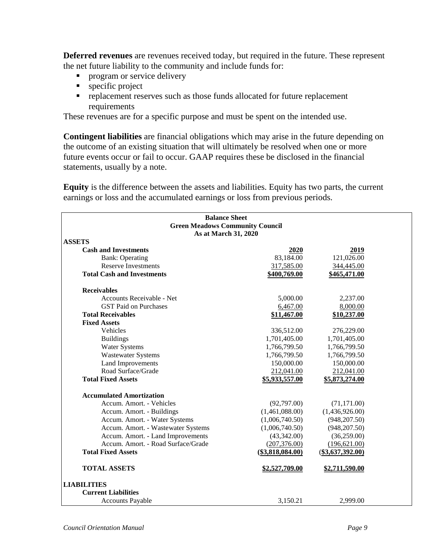**Deferred revenues** are revenues received today, but required in the future. These represent the net future liability to the community and include funds for:

- **Perogram or service delivery**
- **specific project**
- **•** replacement reserves such as those funds allocated for future replacement requirements

These revenues are for a specific purpose and must be spent on the intended use.

**Contingent liabilities** are financial obligations which may arise in the future depending on the outcome of an existing situation that will ultimately be resolved when one or more future events occur or fail to occur. GAAP requires these be disclosed in the financial statements, usually by a note.

**Equity** is the difference between the assets and liabilities. Equity has two parts, the current earnings or loss and the accumulated earnings or loss from previous periods.

| <b>Balance Sheet</b><br><b>Green Meadows Community Council</b> |                    |                    |  |  |  |  |
|----------------------------------------------------------------|--------------------|--------------------|--|--|--|--|
| As at March 31, 2020                                           |                    |                    |  |  |  |  |
| <b>ASSETS</b>                                                  |                    |                    |  |  |  |  |
| <b>Cash and Investments</b>                                    | 2020               | 2019               |  |  |  |  |
| <b>Bank: Operating</b>                                         | 83,184.00          | 121,026.00         |  |  |  |  |
| <b>Reserve Investments</b>                                     | 317,585.00         | 344,445.00         |  |  |  |  |
| <b>Total Cash and Investments</b>                              | \$400,769.00       | \$465,471.00       |  |  |  |  |
| <b>Receivables</b>                                             |                    |                    |  |  |  |  |
| Accounts Receivable - Net                                      | 5,000.00           | 2,237.00           |  |  |  |  |
| <b>GST Paid on Purchases</b>                                   | 6,467.00           | 8,000.00           |  |  |  |  |
| <b>Total Receivables</b>                                       | \$11,467.00        | \$10,237.00        |  |  |  |  |
| <b>Fixed Assets</b>                                            |                    |                    |  |  |  |  |
| <b>Vehicles</b>                                                | 336,512.00         | 276,229.00         |  |  |  |  |
| <b>Buildings</b>                                               | 1,701,405.00       | 1,701,405.00       |  |  |  |  |
| <b>Water Systems</b>                                           | 1,766,799.50       | 1,766,799.50       |  |  |  |  |
| <b>Wastewater Systems</b>                                      | 1,766,799.50       | 1,766,799.50       |  |  |  |  |
| <b>Land Improvements</b>                                       | 150,000.00         | 150,000.00         |  |  |  |  |
| Road Surface/Grade                                             | 212,041.00         | 212,041.00         |  |  |  |  |
| <b>Total Fixed Assets</b>                                      | \$5,933,557.00     | \$5,873,274.00     |  |  |  |  |
| <b>Accumulated Amortization</b>                                |                    |                    |  |  |  |  |
| Accum. Amort. - Vehicles                                       | (92,797.00)        | (71, 171.00)       |  |  |  |  |
| Accum. Amort. - Buildings                                      | (1,461,088.00)     | (1,436,926.00)     |  |  |  |  |
| Accum. Amort. - Water Systems                                  | (1,006,740.50)     | (948, 207.50)      |  |  |  |  |
| Accum. Amort. - Wastewater Systems                             | (1,006,740.50)     | (948, 207.50)      |  |  |  |  |
| Accum. Amort. - Land Improvements                              | (43,342.00)        | (36,259.00)        |  |  |  |  |
| Accum. Amort. - Road Surface/Grade                             | (207, 376.00)      | (196, 621.00)      |  |  |  |  |
| <b>Total Fixed Assets</b>                                      | $(\$3,818,084.00)$ | $(\$3,637,392.00)$ |  |  |  |  |
| <b>TOTAL ASSETS</b>                                            | \$2,527,709.00     | \$2,711,590.00     |  |  |  |  |
| <b>LIABILITIES</b>                                             |                    |                    |  |  |  |  |
| <b>Current Liabilities</b>                                     |                    |                    |  |  |  |  |
| <b>Accounts Payable</b>                                        | 3,150.21           | 2,999.00           |  |  |  |  |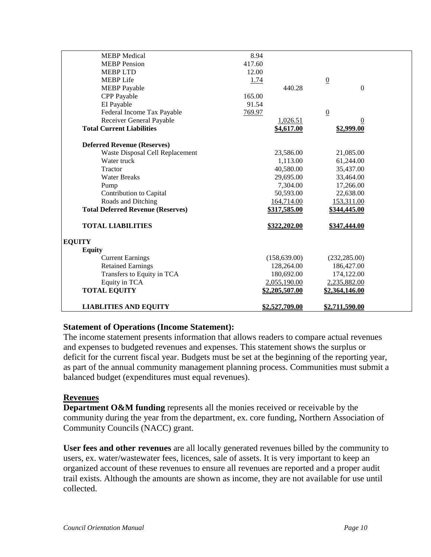| <b>LIABLITIES AND EQUITY</b>             | \$2,527,709.00 | \$2,711,590.00  |  |
|------------------------------------------|----------------|-----------------|--|
|                                          |                |                 |  |
| <b>TOTAL EQUITY</b>                      | \$2,205,507.00 | \$2,364,146.00  |  |
| Equity in TCA                            | 2,055,190.00   | 2,235,882.00    |  |
| Transfers to Equity in TCA               | 180,692.00     | 174,122.00      |  |
| <b>Retained Earnings</b>                 | 128,264.00     | 186,427.00      |  |
| <b>Current Earnings</b>                  | (158, 639.00)  | (232, 285.00)   |  |
| <b>Equity</b>                            |                |                 |  |
| <b>EQUITY</b>                            |                |                 |  |
| <b>TOTAL LIABILITIES</b>                 | \$322,202.00   | \$347,444.00    |  |
| <b>Total Deferred Revenue (Reserves)</b> | \$317,585.00   | \$344,445.00    |  |
| Roads and Ditching                       | 164,714.00     | 153,311.00      |  |
| Contribution to Capital                  | 50,593.00      | 22,638.00       |  |
| Pump                                     | 7,304.00       | 17,266.00       |  |
| <b>Water Breaks</b>                      | 29,695.00      | 33,464.00       |  |
| Tractor                                  | 40,580.00      | 35,437.00       |  |
| Water truck                              | 1,113.00       | 61,244.00       |  |
| Waste Disposal Cell Replacement          | 23,586.00      | 21,085.00       |  |
| <b>Deferred Revenue (Reserves)</b>       |                |                 |  |
| <b>Total Current Liabilities</b>         | \$4,617.00     | \$2,999.00      |  |
| Receiver General Payable                 | 1,026.51       | 0               |  |
| Federal Income Tax Payable               | 769.97         | $\overline{0}$  |  |
| EI Payable                               | 91.54          |                 |  |
| <b>CPP</b> Payable                       | 165.00         |                 |  |
| <b>MEBP</b> Payable                      | 440.28         | $\overline{0}$  |  |
| <b>MEBP</b> Life                         | 1.74           | $\underline{0}$ |  |
| <b>MEBPLTD</b>                           | 12.00          |                 |  |
| <b>MEBP</b> Pension                      | 417.60         |                 |  |
| <b>MEBP</b> Medical                      | 8.94           |                 |  |

#### **Statement of Operations (Income Statement):**

The income statement presents information that allows readers to compare actual revenues and expenses to budgeted revenues and expenses. This statement shows the surplus or deficit for the current fiscal year. Budgets must be set at the beginning of the reporting year, as part of the annual community management planning process. Communities must submit a balanced budget (expenditures must equal revenues).

#### **Revenues**

**Department O&M funding** represents all the monies received or receivable by the community during the year from the department, ex. core funding, Northern Association of Community Councils (NACC) grant.

**User fees and other revenues** are all locally generated revenues billed by the community to users, ex. water/wastewater fees, licences, sale of assets. It is very important to keep an organized account of these revenues to ensure all revenues are reported and a proper audit trail exists. Although the amounts are shown as income, they are not available for use until collected.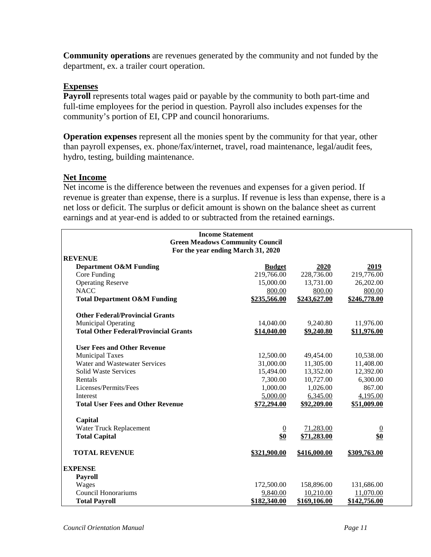**Community operations** are revenues generated by the community and not funded by the department, ex. a trailer court operation.

#### **Expenses**

Payroll represents total wages paid or payable by the community to both part-time and full-time employees for the period in question. Payroll also includes expenses for the community's portion of EI, CPP and council honorariums.

**Operation expenses** represent all the monies spent by the community for that year, other than payroll expenses, ex. phone/fax/internet, travel, road maintenance, legal/audit fees, hydro, testing, building maintenance.

#### **Net Income**

Net income is the difference between the revenues and expenses for a given period. If revenue is greater than expense, there is a surplus. If revenue is less than expense, there is a net loss or deficit. The surplus or deficit amount is shown on the balance sheet as current earnings and at year-end is added to or subtracted from the retained earnings.

| <b>Income Statement</b>                      |                                    |              |                |  |  |
|----------------------------------------------|------------------------------------|--------------|----------------|--|--|
| <b>Green Meadows Community Council</b>       |                                    |              |                |  |  |
|                                              | For the year ending March 31, 2020 |              |                |  |  |
| <b>REVENUE</b>                               |                                    |              |                |  |  |
| <b>Department O&amp;M Funding</b>            | <b>Budget</b>                      | 2020         | 2019           |  |  |
| Core Funding                                 | 219,766.00                         | 228,736.00   | 219,776.00     |  |  |
| <b>Operating Reserve</b>                     | 15,000.00                          | 13,731.00    | 26,202.00      |  |  |
| <b>NACC</b>                                  | 800.00                             | 800.00       | 800.00         |  |  |
| <b>Total Department O&amp;M Funding</b>      | \$235,566.00                       | \$243,627.00 | \$246,778.00   |  |  |
| <b>Other Federal/Provincial Grants</b>       |                                    |              |                |  |  |
| <b>Municipal Operating</b>                   | 14,040.00                          | 9,240.80     | 11,976.00      |  |  |
| <b>Total Other Federal/Provincial Grants</b> | \$14,040.00                        | \$9,240.80   | \$11,976.00    |  |  |
| <b>User Fees and Other Revenue</b>           |                                    |              |                |  |  |
| <b>Municipal Taxes</b>                       | 12,500.00                          | 49,454.00    | 10,538.00      |  |  |
| Water and Wastewater Services                | 31,000.00                          | 11,305.00    | 11,408.00      |  |  |
| <b>Solid Waste Services</b>                  | 15,494.00                          | 13,352.00    | 12,392.00      |  |  |
| Rentals                                      | 7,300.00                           | 10,727.00    | 6,300.00       |  |  |
| Licenses/Permits/Fees                        | 1,000.00                           | 1,026.00     | 867.00         |  |  |
| Interest                                     | 5,000.00                           | 6,345.00     | 4,195.00       |  |  |
| <b>Total User Fees and Other Revenue</b>     | \$72,294.00                        | \$92,209.00  | \$51,009.00    |  |  |
| Capital                                      |                                    |              |                |  |  |
| Water Truck Replacement                      | $\underline{0}$                    | 71,283.00    | $\overline{0}$ |  |  |
| <b>Total Capital</b>                         | \$0                                | \$71,283.00  | \$0            |  |  |
| <b>TOTAL REVENUE</b>                         | \$321,900.00                       | \$416,000.00 | \$309,763.00   |  |  |
|                                              |                                    |              |                |  |  |
| <b>EXPENSE</b>                               |                                    |              |                |  |  |
| <b>Payroll</b>                               |                                    |              |                |  |  |
| Wages                                        | 172,500.00                         | 158,896.00   | 131,686.00     |  |  |
| Council Honorariums                          | 9,840.00                           | 10,210.00    | 11,070.00      |  |  |
| <b>Total Payroll</b>                         | \$182,340.00                       | \$169,106.00 | \$142,756.00   |  |  |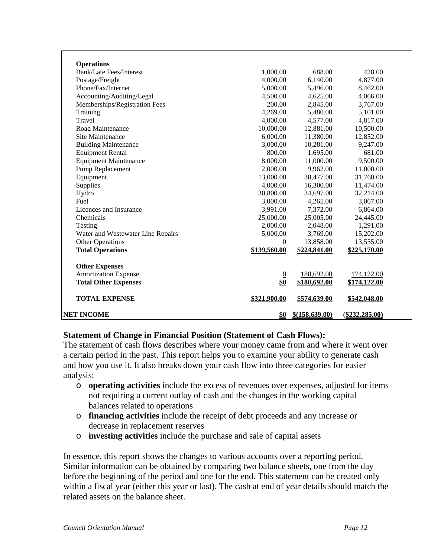| NET INCOME                                          | \$0                 | $$$ (158,639.00)    | $(\$232,285.00)$    |
|-----------------------------------------------------|---------------------|---------------------|---------------------|
| <b>TOTAL EXPENSE</b>                                | <u>\$321,900.00</u> | <u>\$574,639.00</u> | <u>\$542,048.00</u> |
| <b>Total Other Expenses</b>                         | \$0                 | \$180,692.00        | \$174,122.00        |
| <b>Amortization Expense</b>                         | $\overline{0}$      | 180,692.00          | 174,122.00          |
| <b>Other Expenses</b>                               |                     |                     |                     |
|                                                     |                     |                     |                     |
| <b>Total Operations</b>                             | \$139,560.00        | \$224,841.00        | \$225,170.00        |
| <b>Other Operations</b>                             | $\overline{0}$      | 13,858.00           | 13,555.00           |
| Water and Wastewater Line Repairs                   | 5,000.00            | 3,769.00            | 15,202.00           |
| Testing                                             | 2,000.00            | 2,048.00            | 1,291.00            |
| Chemicals                                           | 25,000.00           | 25,005.00           | 24,445.00           |
| Licences and Insurance                              | 3,991.00            | 7,372.00            | 6,864.00            |
| Fuel                                                | 3,000.00            | 4,265.00            | 3,067.00            |
| Hydro                                               | 30,800.00           | 34,697.00           | 32,214.00           |
| Supplies                                            | 4,000.00            | 16,300.00           | 11,474.00           |
| Equipment                                           | 13,000.00           | 30,477.00           | 31,760.00           |
| Pump Replacement                                    | 2,000.00            | 9,962.00            | 11,000.00           |
| <b>Equipment Maintenance</b>                        | 8,000.00            | 11,000.00           | 9,500.00            |
| <b>Equipment Rental</b>                             | 800.00              | 1,695.00            | 681.00              |
| <b>Building Maintenance</b>                         | 3,000.00            | 10,281.00           | 9,247.00            |
| <b>Site Maintenance</b>                             | 6,000.00            | 11,380.00           | 12,852.00           |
| Road Maintenance                                    | 10,000.00           | 12,881.00           | 10,500.00           |
| Travel                                              | 4,000.00            | 4,577.00            | 4,817.00            |
| Training                                            | 4.269.00            | 5,480.00            | 5,101.00            |
| Memberships/Registration Fees                       | 200.00              | 2,845.00            | 3,767.00            |
| Accounting/Auditing/Legal                           | 4,500.00            | 4,625.00            | 4,066.00            |
| Phone/Fax/Internet                                  | 5,000.00            | 5,496.00            | 8,462.00            |
| Postage/Freight                                     | 4,000.00            | 6,140.00            | 4,877.00            |
| <b>Operations</b><br><b>Bank/Late Fees/Interest</b> | 1,000.00            | 688.00              | 428.00              |

#### **Statement of Change in Financial Position (Statement of Cash Flows):**

The statement of cash flo*ws* describes where your money came from and where it went over a certain period in the past. This report helps you to examine your ability to generate cash and how you use it. It also breaks down your cash flow into three categories for easier analysis:

- o **operating activities** include the excess of revenues over expenses, adjusted for items not requiring a current outlay of cash and the changes in the working capital balances related to operations
- o **financing activities** include the receipt of debt proceeds and any increase or decrease in replacement reserves
- o **investing activities** include the purchase and sale of capital assets

In essence, this report shows the changes to various accounts over a reporting period. Similar information can be obtained by comparing two balance sheets, one from the day before the beginning of the period and one for the end. This statement can be created only within a fiscal year (either this year or last). The cash at end of year details should match the related assets on the balance sheet.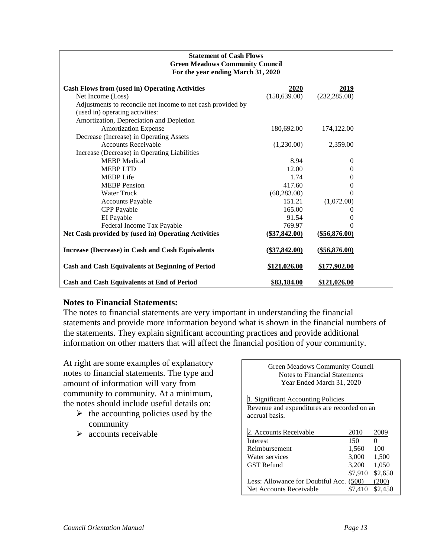#### **Statement of Cash Flows Green Meadows Community Council For the year ending March 31, 2020**

| <b>Cash Flows from (used in) Operating Activities</b><br>Net Income (Loss)<br>Adjustments to reconcile net income to net cash provided by | <b>2020</b><br>(158, 639.00) | 2019<br>(232, 285.00) |  |
|-------------------------------------------------------------------------------------------------------------------------------------------|------------------------------|-----------------------|--|
| (used in) operating activities:                                                                                                           |                              |                       |  |
| Amortization, Depreciation and Depletion                                                                                                  |                              |                       |  |
| <b>Amortization Expense</b>                                                                                                               | 180,692.00                   | 174,122.00            |  |
| Decrease (Increase) in Operating Assets                                                                                                   |                              |                       |  |
| <b>Accounts Receivable</b>                                                                                                                | (1,230.00)                   | 2,359.00              |  |
| Increase (Decrease) in Operating Liabilities                                                                                              |                              |                       |  |
| <b>MEBP</b> Medical                                                                                                                       | 8.94                         | $\theta$              |  |
| <b>MEBPLTD</b>                                                                                                                            | 12.00                        | $\Omega$              |  |
| <b>MEBP</b> Life                                                                                                                          | 1.74                         | $\Omega$              |  |
| <b>MEBP</b> Pension                                                                                                                       | 417.60                       | $\theta$              |  |
| <b>Water Truck</b>                                                                                                                        | (60, 283.00)                 | $\Omega$              |  |
| <b>Accounts Payable</b>                                                                                                                   | 151.21                       | (1,072.00)            |  |
| <b>CPP</b> Payable                                                                                                                        | 165.00                       | $\Omega$              |  |
| EI Payable                                                                                                                                | 91.54                        | $\theta$              |  |
| Federal Income Tax Payable                                                                                                                | 769.97                       | 0                     |  |
| Net Cash provided by (used in) Operating Activities                                                                                       | $(\$37,842.00)$              | $(\$56,876.00)$       |  |
| <b>Increase (Decrease) in Cash and Cash Equivalents</b>                                                                                   | $(\$37,842.00)$              | ( <b>§</b> 56,876.00) |  |
| <b>Cash and Cash Equivalents at Beginning of Period</b>                                                                                   | \$121,026.00                 | \$177,902.00          |  |
| <b>Cash and Cash Equivalents at End of Period</b>                                                                                         | \$83,184.00                  | \$121,026.00          |  |

#### **Notes to Financial Statements:**

The notes to financial statements are very important in understanding the financial statements and provide more information beyond what is shown in the financial numbers of the statements. They explain significant accounting practices and provide additional information on other matters that will affect the financial position of your community.

At right are some examples of explanatory notes to financial statements. The type and amount of information will vary from community to community. At a minimum, the notes should include useful details on:

- $\triangleright$  the accounting policies used by the community
- $\triangleright$  accounts receivable

Green Meadows Community Council Notes to Financial Statements Year Ended March 31, 2020

1. Significant Accounting Policies Revenue and expenditures are recorded on an accrual basis.

| 2. Accounts Receivable                  | 2010    | 2009    |
|-----------------------------------------|---------|---------|
| Interest                                | 150     |         |
| Reimbursement                           | 1,560   | 100     |
| Water services                          | 3,000   | 1,500   |
| <b>GST</b> Refund                       | 3.200   | 1,050   |
|                                         | \$7,910 | \$2,650 |
| Less: Allowance for Doubtful Acc. (500) |         | (200)   |
| Net Accounts Receivable                 | \$7.410 | \$2,450 |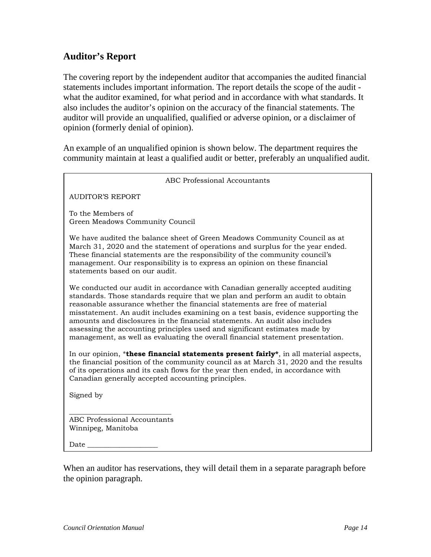## **Auditor's Report**

The covering report by the independent auditor that accompanies the audited financial statements includes important information. The report details the scope of the audit what the auditor examined, for what period and in accordance with what standards. It also includes the auditor's opinion on the accuracy of the financial statements. The auditor will provide an unqualified, qualified or adverse opinion, or a disclaimer of opinion (formerly denial of opinion).

An example of an unqualified opinion is shown below. The department requires the community maintain at least a qualified audit or better, preferably an unqualified audit.

| <b>ABC Professional Accountants</b>                                                                                                                                                                                                                                                                                                                                                                                                                                                                                                                                                  |
|--------------------------------------------------------------------------------------------------------------------------------------------------------------------------------------------------------------------------------------------------------------------------------------------------------------------------------------------------------------------------------------------------------------------------------------------------------------------------------------------------------------------------------------------------------------------------------------|
| <b>AUDITOR'S REPORT</b>                                                                                                                                                                                                                                                                                                                                                                                                                                                                                                                                                              |
| To the Members of<br>Green Meadows Community Council                                                                                                                                                                                                                                                                                                                                                                                                                                                                                                                                 |
| We have audited the balance sheet of Green Meadows Community Council as at<br>March 31, 2020 and the statement of operations and surplus for the year ended.<br>These financial statements are the responsibility of the community council's<br>management. Our responsibility is to express an opinion on these financial<br>statements based on our audit.                                                                                                                                                                                                                         |
| We conducted our audit in accordance with Canadian generally accepted auditing<br>standards. Those standards require that we plan and perform an audit to obtain<br>reasonable assurance whether the financial statements are free of material<br>misstatement. An audit includes examining on a test basis, evidence supporting the<br>amounts and disclosures in the financial statements. An audit also includes<br>assessing the accounting principles used and significant estimates made by<br>management, as well as evaluating the overall financial statement presentation. |
| In our opinion, *these financial statements present fairly*, in all material aspects,<br>the financial position of the community council as at March 31, 2020 and the results<br>of its operations and its cash flows for the year then ended, in accordance with<br>Canadian generally accepted accounting principles.                                                                                                                                                                                                                                                              |
| Signed by                                                                                                                                                                                                                                                                                                                                                                                                                                                                                                                                                                            |
| <b>ABC Professional Accountants</b><br>Winnipeg, Manitoba                                                                                                                                                                                                                                                                                                                                                                                                                                                                                                                            |
| Date                                                                                                                                                                                                                                                                                                                                                                                                                                                                                                                                                                                 |
| When an auditor has reservations, they will detail them in a separate paragraph before                                                                                                                                                                                                                                                                                                                                                                                                                                                                                               |

the opinion paragraph.